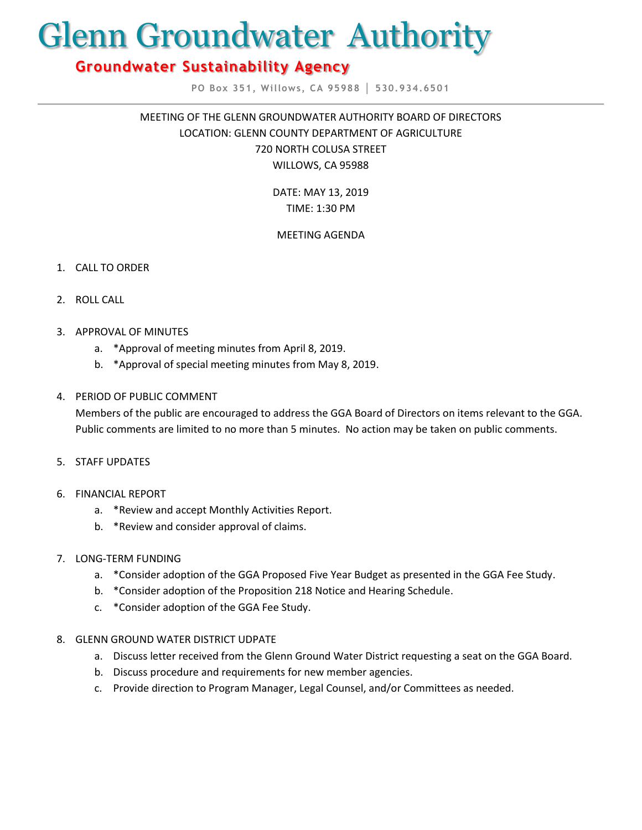# Glenn Groundwater Authority

# **Groundwater Sustainability Agency**

**PO Box 351, Willows, CA 95988 │ 530.934.6501**

MEETING OF THE GLENN GROUNDWATER AUTHORITY BOARD OF DIRECTORS LOCATION: GLENN COUNTY DEPARTMENT OF AGRICULTURE 720 NORTH COLUSA STREET WILLOWS, CA 95988

> DATE: MAY 13, 2019 TIME: 1:30 PM

## MEETING AGENDA

- 1. CALL TO ORDER
- 2. ROLL CALL
- 3. APPROVAL OF MINUTES
	- a. \*Approval of meeting minutes from April 8, 2019.
	- b. \*Approval of special meeting minutes from May 8, 2019.

### 4. PERIOD OF PUBLIC COMMENT

Members of the public are encouraged to address the GGA Board of Directors on items relevant to the GGA. Public comments are limited to no more than 5 minutes. No action may be taken on public comments.

- 5. STAFF UPDATES
- 6. FINANCIAL REPORT
	- a. \*Review and accept Monthly Activities Report.
	- b. \*Review and consider approval of claims.
- 7. LONG-TERM FUNDING
	- a. \*Consider adoption of the GGA Proposed Five Year Budget as presented in the GGA Fee Study.
	- b. \*Consider adoption of the Proposition 218 Notice and Hearing Schedule.
	- c. \*Consider adoption of the GGA Fee Study.
- 8. GLENN GROUND WATER DISTRICT UDPATE
	- a. Discuss letter received from the Glenn Ground Water District requesting a seat on the GGA Board.
	- b. Discuss procedure and requirements for new member agencies.
	- c. Provide direction to Program Manager, Legal Counsel, and/or Committees as needed.